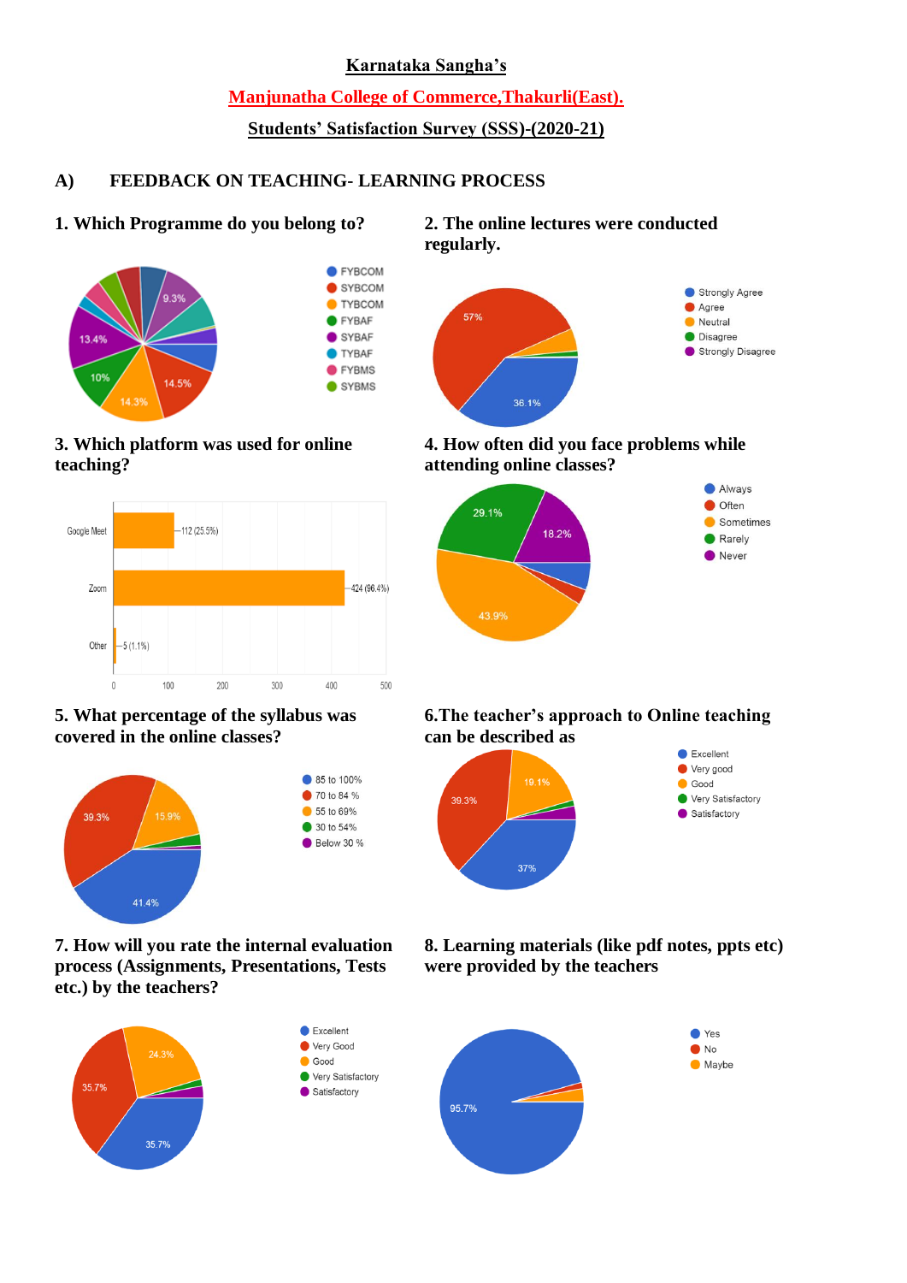#### **Karnataka Sangha's**

**Manjunatha College of Commerce,Thakurli(East).**

# **Students' Satisfaction Survey (SSS)-(2020-21)**

# **A) FEEDBACK ON TEACHING- LEARNING PROCESS**

# **1. Which Programme do you belong to? 2. The online lectures were conducted**



# **3. Which platform was used for online teaching?**



# **5. What percentage of the syllabus was covered in the online classes?**



**7. How will you rate the internal evaluation process (Assignments, Presentations, Tests etc.) by the teachers?**



**regularly.**



#### **4. How often did you face problems while attending online classes?**



#### **6.The teacher's approach to Online teaching can be described as**



# **8. Learning materials (like pdf notes, ppts etc) were provided by the teachers**

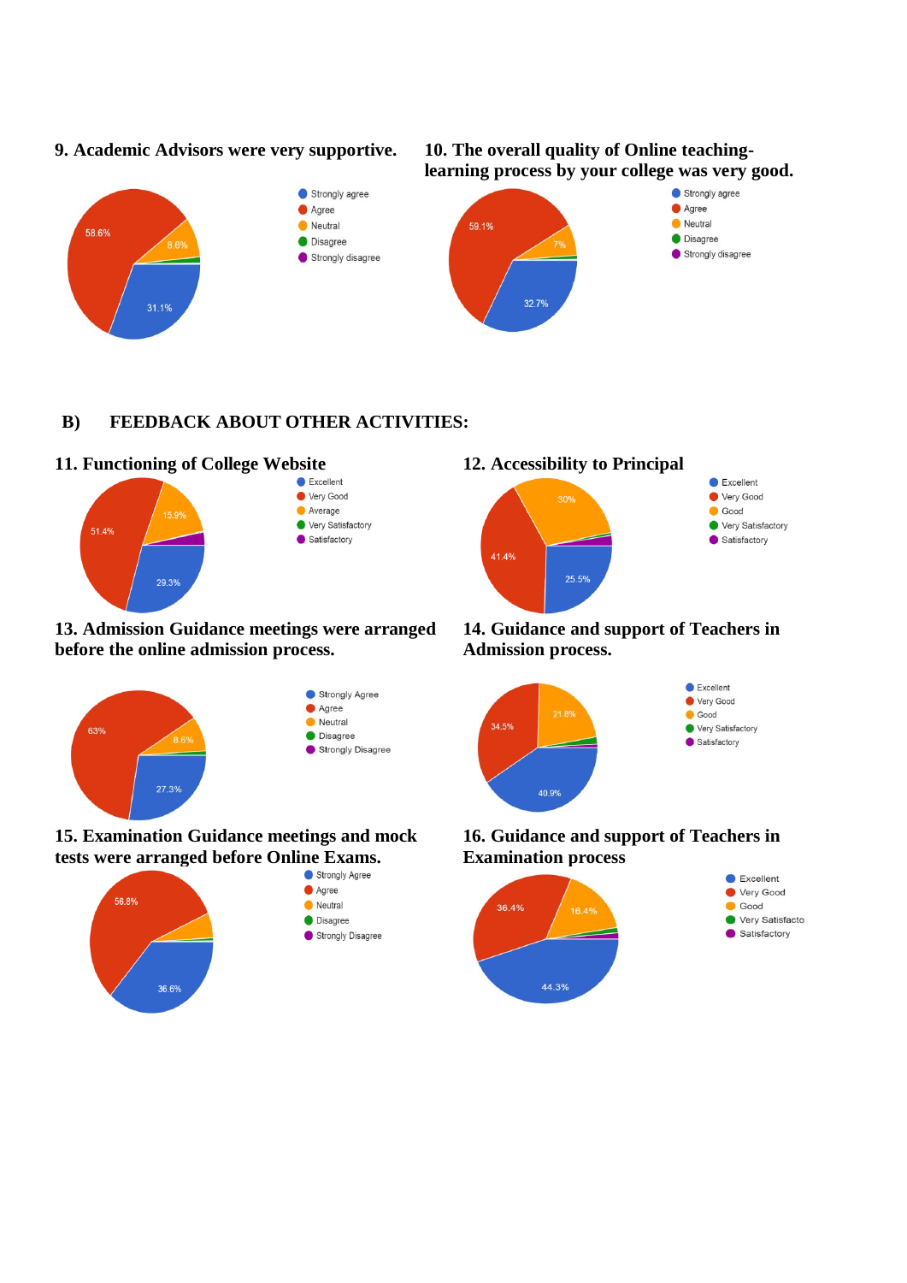#### **9. Academic Advisors were very supportive. 10. The overall quality of Online teaching-**





# **B) FEEDBACK ABOUT OTHER ACTIVITIES:**

# **11. Functioning of College Website 12. Accessibility to Principal**



#### **13. Admission Guidance meetings were arranged before the online admission process.**



# **15. Examination Guidance meetings and mock tests were arranged before Online Exams.**<br> **O** Strongly Agree





#### **14. Guidance and support of Teachers in Admission process.**



### **16. Guidance and support of Teachers in Examination process**